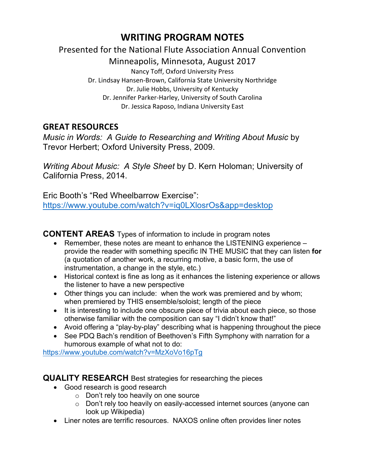## WRITING PROGRAM NOTES

## Presented for the National Flute Association Annual Convention

Minneapolis, Minnesota, August 2017

Nancy Toff, Oxford University Press Dr. Lindsay Hansen-Brown, California State University Northridge Dr. Julie Hobbs, University of Kentucky Dr. Jennifer Parker-Harley, University of South Carolina Dr. Jessica Raposo, Indiana University East

## **GREAT RESOURCES**

*Music in Words: A Guide to Researching and Writing About Music* by Trevor Herbert; Oxford University Press, 2009.

*Writing About Music: A Style Sheet* by D. Kern Holoman; University of California Press, 2014.

Eric Booth's "Red Wheelbarrow Exercise": https://www.youtube.com/watch?v=iq0LXlosrOs&app=desktop

**CONTENT AREAS** Types of information to include in program notes

- Remember, these notes are meant to enhance the LISTENING experience provide the reader with something specific IN THE MUSIC that they can listen **for** (a quotation of another work, a recurring motive, a basic form, the use of instrumentation, a change in the style, etc.)
- Historical context is fine as long as it enhances the listening experience or allows the listener to have a new perspective
- Other things you can include: when the work was premiered and by whom; when premiered by THIS ensemble/soloist; length of the piece
- It is interesting to include one obscure piece of trivia about each piece, so those otherwise familiar with the composition can say "I didn't know that!"
- Avoid offering a "play-by-play" describing what is happening throughout the piece
- See PDQ Bach's rendition of Beethoven's Fifth Symphony with narration for a humorous example of what not to do:

https://www.youtube.com/watch?v=MzXoVo16pTg

**QUALITY RESEARCH** Best strategies for researching the pieces

- Good research is good research
	- o Don't rely too heavily on one source
	- o Don't rely too heavily on easily-accessed internet sources (anyone can look up Wikipedia)
- Liner notes are terrific resources. NAXOS online often provides liner notes